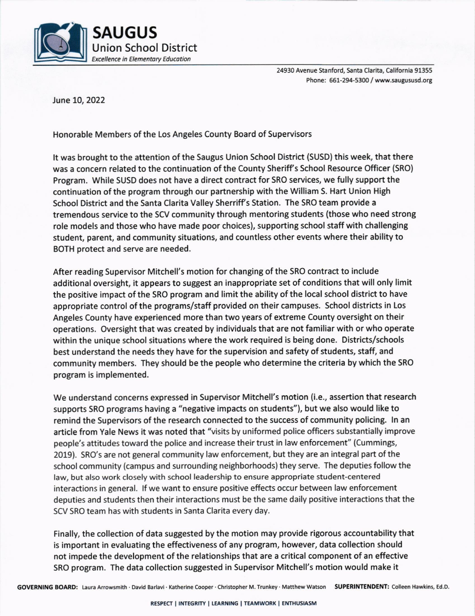

24930 Avenue Stanford, Santa Clarita, California 91355 Phone: 651-294-5300/ www.saugususd.org

June 10,2022

Honorable Members of the Los Angeles County Board of Supervisors

It was brought to the attention of the Saugus Union School District (SUSD) this week, that there was a concern related to the continuation of the County Sheriff's School Resource Officer (SRO) Program. While SUSD does not have a direct contract for SRO services, we fully support the continuation of the program through our partnership with the William S. Hart Union High School District and the Santa Clarita Valley Sherriff's Station. The SRO team provide a tremendous service to the SCV community through mentoring students (those who need strong role models and those who have made poor choices), supporting school staff with challenging student, parent, and community situations, and countless other events where their ability to BOTH protect and serve are needed.

After reading Supervisor Mitchell's motion for changing of the SRO contract to include additional oversight, it appears to suggest an inappropriate set of conditions that will only limit the positive impact of the SRO program and limit the ability of the local school district to have appropriate control of the programs/staff provided on their campuses. School districts in Los Angeles County have experienced more than two years of extreme County oversight on their operations. Oversight that was created by individuals that are not familiar with or who operate within the unique school situations where the work required is being done. Districts/schools best understand the needs they have for the supervision and safety of students, staff, and community members. They should be the people who determine the criteria by which the SRO program is implemented.

We understand concerns expressed in Supervisor Mitchell's motion (i.e., assertion that research supports SRO programs having a "negative impacts on students"), but we also would like to remind the Supervisors of the research connected to the success of community policing. In an article from Yale News it was noted that "visits by uniformed police officers substantially improve people's attitudes toward the police and increase their trust in law enforcement" (Cummings, 2019). SRO's are not general community law enforcement, but they are an integral part of the school community (campus and surrounding neighborhoods) they serve. The deputies follow the law, but also work closely with school leadership to ensure appropriate student-centered interactions in general. lf we want to ensure positive effects occur between law enforcement deputies and students then their interactions must be the same daily positive interactions that the SCV SRO team has with students in Santa Clarita every day.

Finally, the collection of data suggested by the motion may provide rigorous accountability that is important in evaluating the effectiveness of any program, however, data collection should not impede the development of the relationships that are a critical component of an effective SRO program. The data collection suggested in Supervisor Mitchell's motion would make it